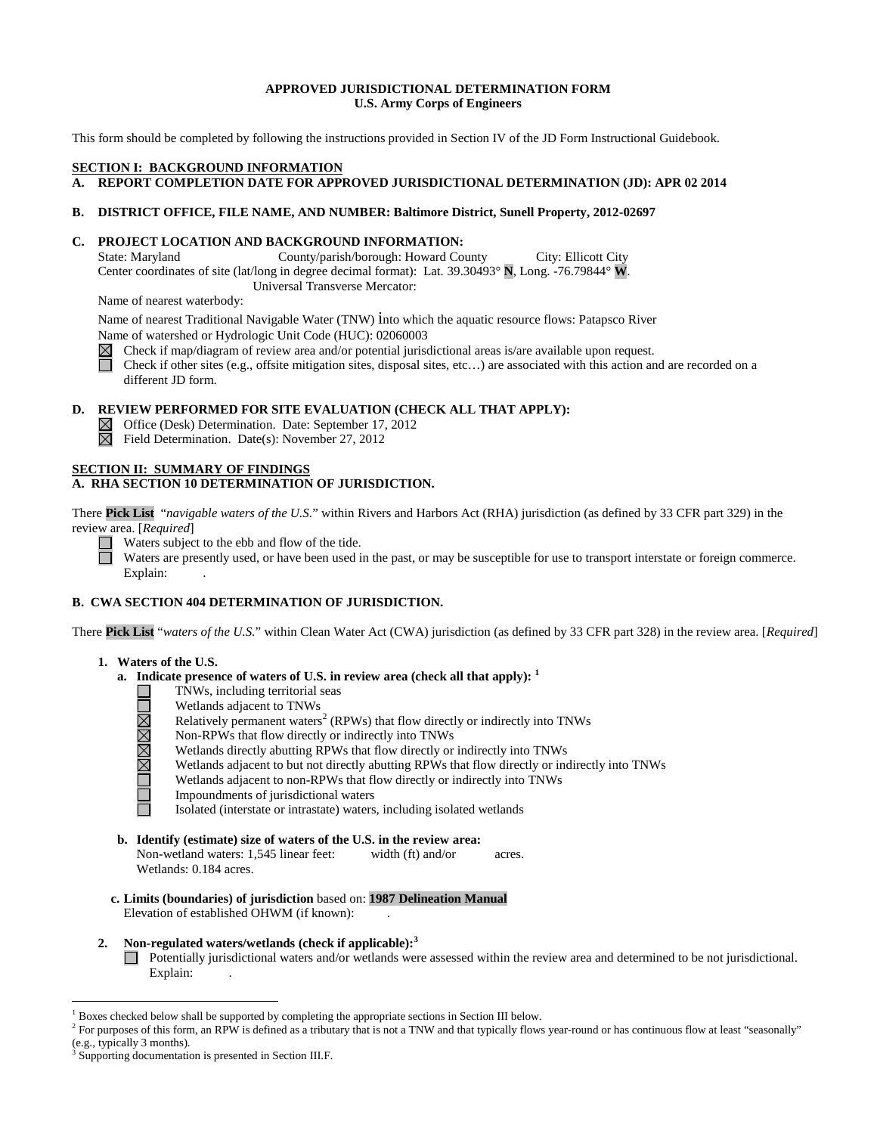### **APPROVED JURISDICTIONAL DETERMINATION FORM U.S. Army Corps of Engineers**

This form should be completed by following the instructions provided in Section IV of the JD Form Instructional Guidebook.

## **SECTION I: BACKGROUND INFORMATION**

## **A. REPORT COMPLETION DATE FOR APPROVED JURISDICTIONAL DETERMINATION (JD): APR 02 2014**

### **B. DISTRICT OFFICE, FILE NAME, AND NUMBER: Baltimore District, Sunell Property, 2012-02697**

### **C. PROJECT LOCATION AND BACKGROUND INFORMATION:**

State: Maryland County/parish/borough: Howard County City: Ellicott City Center coordinates of site (lat/long in degree decimal format): Lat. 39.30493° **N**, Long. -76.79844° **W**. Universal Transverse Mercator:

Name of nearest waterbody:

Name of nearest Traditional Navigable Water (TNW) into which the aquatic resource flows: Patapsco River Name of watershed or Hydrologic Unit Code (HUC): 02060003

 $\boxtimes$ Check if map/diagram of review area and/or potential jurisdictional areas is/are available upon request.

П Check if other sites (e.g., offsite mitigation sites, disposal sites, etc…) are associated with this action and are recorded on a different JD form.

## **D. REVIEW PERFORMED FOR SITE EVALUATION (CHECK ALL THAT APPLY):**

 $\boxtimes$  Office (Desk) Determination. Date: September 17, 2012

 $\boxtimes$  Field Determination. Date(s): November 27, 2012

#### **SECTION II: SUMMARY OF FINDINGS A. RHA SECTION 10 DETERMINATION OF JURISDICTION.**

There **Pick List** "*navigable waters of the U.S.*" within Rivers and Harbors Act (RHA) jurisdiction (as defined by 33 CFR part 329) in the review area. [*Required*]

Waters subject to the ebb and flow of the tide.

Waters are presently used, or have been used in the past, or may be susceptible for use to transport interstate or foreign commerce. Explain:

## **B. CWA SECTION 404 DETERMINATION OF JURISDICTION.**

There **Pick List** "*waters of the U.S.*" within Clean Water Act (CWA) jurisdiction (as defined by 33 CFR part 328) in the review area. [*Required*]

#### **1. Waters of the U.S.**

**TOMMARTEL** 

- **a. Indicate presence of waters of U.S. in review area (check all that apply): <sup>1</sup>**
	- TNWs, including territorial seas
	- Wetlands adjacent to TNWs
	- Relatively permanent waters<sup>2</sup> (RPWs) that flow directly or indirectly into TNWs
	- Non-RPWs that flow directly or indirectly into TNWs
	- Wetlands directly abutting RPWs that flow directly or indirectly into TNWs
	- Wetlands adjacent to but not directly abutting RPWs that flow directly or indirectly into TNWs
	- Wetlands adjacent to non-RPWs that flow directly or indirectly into TNWs
	- Impoundments of jurisdictional waters
	- Isolated (interstate or intrastate) waters, including isolated wetlands
- **b. Identify (estimate) size of waters of the U.S. in the review area:** Non-wetland waters: 1,545 linear feet: width (ft) and/or acres. Wetlands: 0.184 acres.
- **c. Limits (boundaries) of jurisdiction** based on: **1987 Delineation Manual** Elevation of established OHWM (if known):
- **2. Non-regulated waters/wetlands (check if applicable): 3** Potentially jurisdictional waters and/or wetlands were assessed within the review area and determined to be not jurisdictional. Explain:

<sup>&</sup>lt;sup>1</sup> Boxes checked below shall be supported by completing the appropriate sections in Section III below.

<sup>&</sup>lt;sup>2</sup> For purposes of this form, an RPW is defined as a tributary that is not a TNW and that typically flows year-round or has continuous flow at least "seasonally" (e.g., typically 3 months).

Supporting documentation is presented in Section III.F.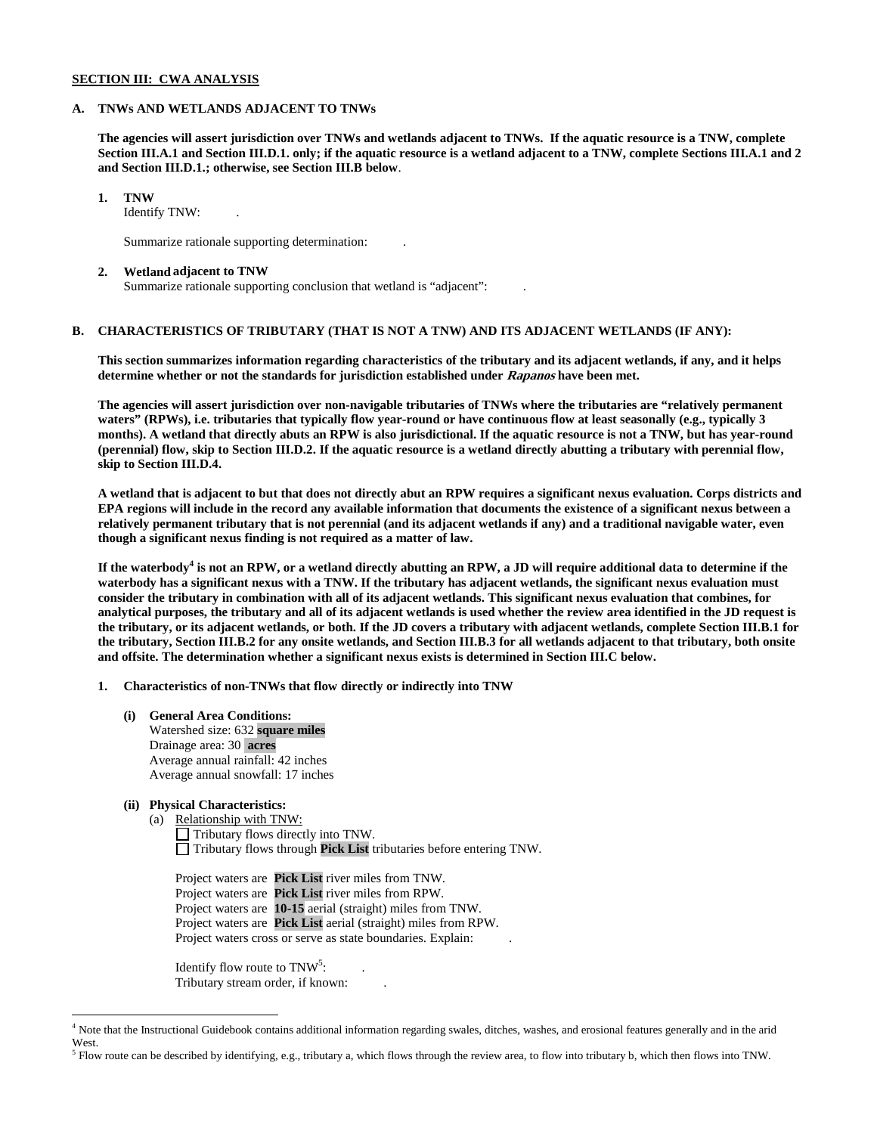### **SECTION III: CWA ANALYSIS**

#### **A. TNWs AND WETLANDS ADJACENT TO TNWs**

**The agencies will assert jurisdiction over TNWs and wetlands adjacent to TNWs. If the aquatic resource is a TNW, complete Section III.A.1 and Section III.D.1. only; if the aquatic resource is a wetland adjacent to a TNW, complete Sections III.A.1 and 2 and Section III.D.1.; otherwise, see Section III.B below**.

### **1. TNW**

Identify TNW: .

Summarize rationale supporting determination: .

#### **2. Wetland adjacent to TNW**

Summarize rationale supporting conclusion that wetland is "adjacent": .

## **B. CHARACTERISTICS OF TRIBUTARY (THAT IS NOT A TNW) AND ITS ADJACENT WETLANDS (IF ANY):**

**This section summarizes information regarding characteristics of the tributary and its adjacent wetlands, if any, and it helps determine whether or not the standards for jurisdiction established under Rapanos have been met.** 

**The agencies will assert jurisdiction over non-navigable tributaries of TNWs where the tributaries are "relatively permanent waters" (RPWs), i.e. tributaries that typically flow year-round or have continuous flow at least seasonally (e.g., typically 3 months). A wetland that directly abuts an RPW is also jurisdictional. If the aquatic resource is not a TNW, but has year-round (perennial) flow, skip to Section III.D.2. If the aquatic resource is a wetland directly abutting a tributary with perennial flow, skip to Section III.D.4.**

**A wetland that is adjacent to but that does not directly abut an RPW requires a significant nexus evaluation. Corps districts and EPA regions will include in the record any available information that documents the existence of a significant nexus between a relatively permanent tributary that is not perennial (and its adjacent wetlands if any) and a traditional navigable water, even though a significant nexus finding is not required as a matter of law.**

**If the waterbody<sup>4</sup> is not an RPW, or a wetland directly abutting an RPW, a JD will require additional data to determine if the waterbody has a significant nexus with a TNW. If the tributary has adjacent wetlands, the significant nexus evaluation must consider the tributary in combination with all of its adjacent wetlands. This significant nexus evaluation that combines, for analytical purposes, the tributary and all of its adjacent wetlands is used whether the review area identified in the JD request is the tributary, or its adjacent wetlands, or both. If the JD covers a tributary with adjacent wetlands, complete Section III.B.1 for the tributary, Section III.B.2 for any onsite wetlands, and Section III.B.3 for all wetlands adjacent to that tributary, both onsite and offsite. The determination whether a significant nexus exists is determined in Section III.C below.**

**1. Characteristics of non-TNWs that flow directly or indirectly into TNW**

**(i) General Area Conditions:** Watershed size: 632 **square miles** Drainage area: 30 **acres** Average annual rainfall: 42 inches Average annual snowfall: 17 inches

## **(ii) Physical Characteristics:**

(a) Relationship with TNW: Tributary flows directly into TNW. Tributary flows through **Pick List** tributaries before entering TNW.

Project waters are **Pick List** river miles from TNW. Project waters are **Pick List** river miles from RPW. Project waters are **10-15** aerial (straight) miles from TNW. Project waters are **Pick List** aerial (straight) miles from RPW. Project waters cross or serve as state boundaries. Explain:

Identify flow route to  $TNW<sup>5</sup>$ :  $:$  . Tributary stream order, if known: .

 <sup>4</sup> Note that the Instructional Guidebook contains additional information regarding swales, ditches, washes, and erosional features generally and in the arid West.

 $<sup>5</sup>$  Flow route can be described by identifying, e.g., tributary a, which flows through the review area, to flow into tributary b, which then flows into TNW.</sup>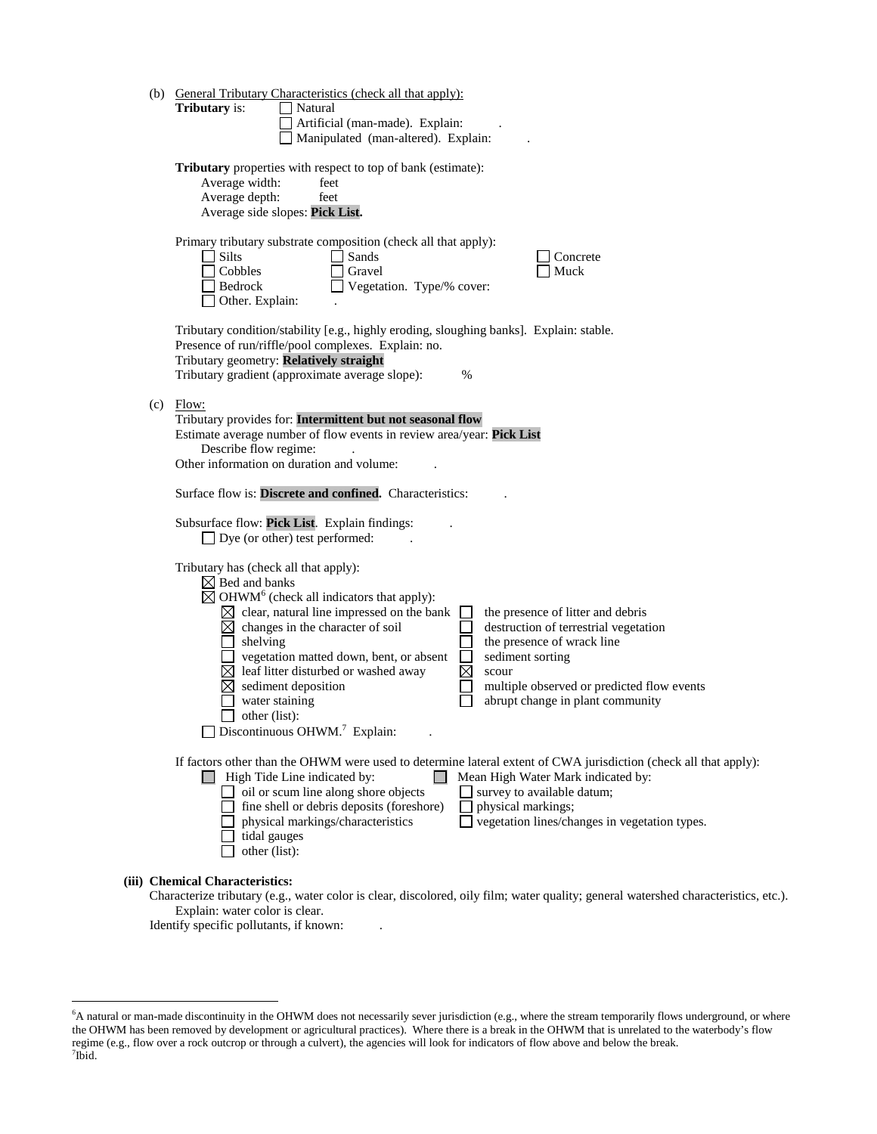|                                                                                                                  | (b) General Tributary Characteristics (check all that apply):                                                                                                                                                                                     |  |  |  |  |
|------------------------------------------------------------------------------------------------------------------|---------------------------------------------------------------------------------------------------------------------------------------------------------------------------------------------------------------------------------------------------|--|--|--|--|
|                                                                                                                  | Tributary is:<br>Natural                                                                                                                                                                                                                          |  |  |  |  |
|                                                                                                                  | Artificial (man-made). Explain:                                                                                                                                                                                                                   |  |  |  |  |
|                                                                                                                  | Manipulated (man-altered). Explain:                                                                                                                                                                                                               |  |  |  |  |
|                                                                                                                  | <b>Tributary</b> properties with respect to top of bank (estimate):<br>Average width:<br>feet<br>Average depth:<br>feet<br>Average side slopes: Pick List.                                                                                        |  |  |  |  |
|                                                                                                                  | Primary tributary substrate composition (check all that apply):<br><b>Silts</b><br>Sands<br>Concrete<br>Cobbles<br>Gravel<br>Muck<br>Bedrock<br>$\Box$ Vegetation. Type/% cover:<br>Other. Explain:                                               |  |  |  |  |
|                                                                                                                  | Tributary condition/stability [e.g., highly eroding, sloughing banks]. Explain: stable.<br>Presence of run/riffle/pool complexes. Explain: no.<br>Tributary geometry: Relatively straight<br>Tributary gradient (approximate average slope):<br>% |  |  |  |  |
| (c)                                                                                                              | Flow:                                                                                                                                                                                                                                             |  |  |  |  |
|                                                                                                                  | Tributary provides for: Intermittent but not seasonal flow                                                                                                                                                                                        |  |  |  |  |
|                                                                                                                  | Estimate average number of flow events in review area/year: Pick List                                                                                                                                                                             |  |  |  |  |
|                                                                                                                  | Describe flow regime:<br>Other information on duration and volume:                                                                                                                                                                                |  |  |  |  |
|                                                                                                                  |                                                                                                                                                                                                                                                   |  |  |  |  |
|                                                                                                                  | Surface flow is: Discrete and confined. Characteristics:                                                                                                                                                                                          |  |  |  |  |
|                                                                                                                  |                                                                                                                                                                                                                                                   |  |  |  |  |
|                                                                                                                  | Subsurface flow: Pick List. Explain findings:<br>$\Box$ Dye (or other) test performed:                                                                                                                                                            |  |  |  |  |
|                                                                                                                  |                                                                                                                                                                                                                                                   |  |  |  |  |
|                                                                                                                  | Tributary has (check all that apply):                                                                                                                                                                                                             |  |  |  |  |
|                                                                                                                  | $\boxtimes$ Bed and banks                                                                                                                                                                                                                         |  |  |  |  |
|                                                                                                                  | $\boxtimes$ OHWM <sup>6</sup> (check all indicators that apply):                                                                                                                                                                                  |  |  |  |  |
|                                                                                                                  | $\boxtimes$ clear, natural line impressed on the bank<br>the presence of litter and debris<br>destruction of terrestrial vegetation<br>$\boxtimes$ changes in the character of soil                                                               |  |  |  |  |
|                                                                                                                  | shelving<br>the presence of wrack line                                                                                                                                                                                                            |  |  |  |  |
|                                                                                                                  | $\Box$ vegetation matted down, bent, or absent<br>П<br>sediment sorting                                                                                                                                                                           |  |  |  |  |
|                                                                                                                  | $\boxtimes$<br>$\boxtimes$ leaf litter disturbed or washed away<br>scour                                                                                                                                                                          |  |  |  |  |
|                                                                                                                  | sediment deposition<br>multiple observed or predicted flow events<br>⊠                                                                                                                                                                            |  |  |  |  |
|                                                                                                                  | water staining<br>abrupt change in plant community                                                                                                                                                                                                |  |  |  |  |
|                                                                                                                  | other (list):<br>$\Box$ Discontinuous OHWM. <sup>7</sup> Explain:                                                                                                                                                                                 |  |  |  |  |
|                                                                                                                  |                                                                                                                                                                                                                                                   |  |  |  |  |
| If factors other than the OHWM were used to determine lateral extent of CWA jurisdiction (check all that apply): |                                                                                                                                                                                                                                                   |  |  |  |  |
|                                                                                                                  | $\Box$ High Tide Line indicated by:<br>Mean High Water Mark indicated by:<br>oil or scum line along shore objects<br>survey to available datum;                                                                                                   |  |  |  |  |
|                                                                                                                  | fine shell or debris deposits (foreshore)<br>physical markings;                                                                                                                                                                                   |  |  |  |  |
|                                                                                                                  | vegetation lines/changes in vegetation types.<br>physical markings/characteristics                                                                                                                                                                |  |  |  |  |
|                                                                                                                  | tidal gauges                                                                                                                                                                                                                                      |  |  |  |  |
|                                                                                                                  | other (list):                                                                                                                                                                                                                                     |  |  |  |  |
|                                                                                                                  | (iii) Chemical Characteristics:                                                                                                                                                                                                                   |  |  |  |  |
|                                                                                                                  | zo tributoru (c<br>$v_{\text{total}}$<br>oily film: water quality: general watersh                                                                                                                                                                |  |  |  |  |

Identify specific pollutants, if known: .

Characterize tributary (e.g., water color is clear, discolored, oily film; water quality; general watershed characteristics, etc.). Explain: water color is clear.

 <sup>6</sup> <sup>6</sup>A natural or man-made discontinuity in the OHWM does not necessarily sever jurisdiction (e.g., where the stream temporarily flows underground, or where the OHWM has been removed by development or agricultural practices). Where there is a break in the OHWM that is unrelated to the waterbody's flow regime (e.g., flow over a rock outcrop or through a culvert), the agencies will look for indicators of flow above and below the break. <sup>7</sup>  $7$ Ibid.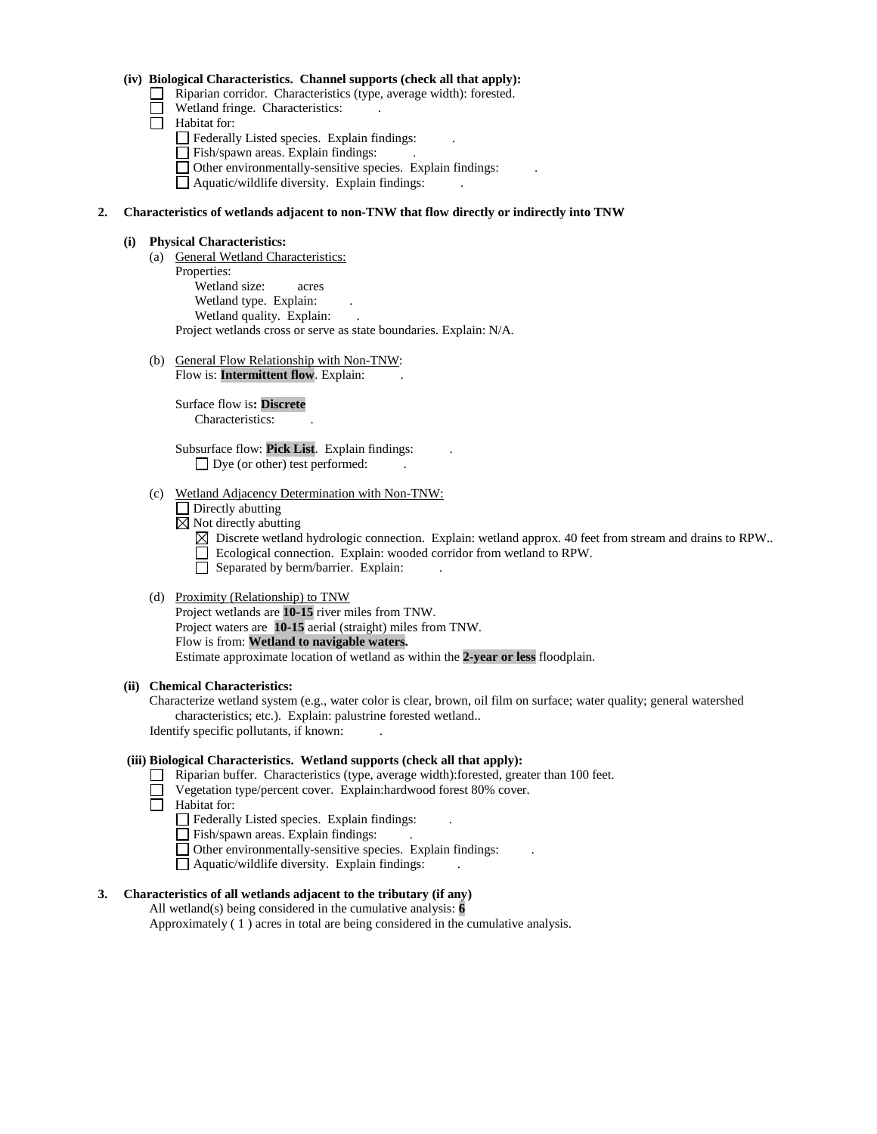### **(iv) Biological Characteristics. Channel supports (check all that apply):**

- Riparian corridor. Characteristics (type, average width): forested.
- Wetland fringe. Characteristics:
- $\Box$  Habitat for:
	- Federally Listed species. Explain findings:
	- Fish/spawn areas. Explain findings: .
	- Other environmentally-sensitive species. Explain findings: .
	- Aquatic/wildlife diversity. Explain findings: .

### **2. Characteristics of wetlands adjacent to non-TNW that flow directly or indirectly into TNW**

### **(i) Physical Characteristics:**

- (a) General Wetland Characteristics: Properties: Wetland size: acres Wetland type. Explain: Wetland quality. Explain: Project wetlands cross or serve as state boundaries. Explain: N/A.
- (b) General Flow Relationship with Non-TNW: Flow is: **Intermittent flow**. Explain:

Surface flow is**: Discrete**  Characteristics: .

Subsurface flow: **Pick List**. Explain findings: .  $\Box$  Dye (or other) test performed:

### (c) Wetland Adjacency Determination with Non-TNW:

- $\Box$  Directly abutting
- $\boxtimes$  Not directly abutting
	- $\boxtimes$  Discrete wetland hydrologic connection. Explain: wetland approx. 40 feet from stream and drains to RPW..
	- Ecological connection. Explain: wooded corridor from wetland to RPW.
	- Separated by berm/barrier. Explain:

## (d) Proximity (Relationship) to TNW

Project wetlands are **10-15** river miles from TNW. Project waters are **10-15** aerial (straight) miles from TNW. Flow is from: **Wetland to navigable waters.** Estimate approximate location of wetland as within the **2-year or less** floodplain.

### **(ii) Chemical Characteristics:**

Characterize wetland system (e.g., water color is clear, brown, oil film on surface; water quality; general watershed characteristics; etc.). Explain: palustrine forested wetland.. Identify specific pollutants, if known: .

### **(iii) Biological Characteristics. Wetland supports (check all that apply):**

- Riparian buffer. Characteristics (type, average width):forested, greater than 100 feet.
- Vegetation type/percent cover. Explain:hardwood forest 80% cover.
- **Habitat for:** 
	- Federally Listed species. Explain findings: .
	- Fish/spawn areas. Explain findings: .
	- Other environmentally-sensitive species. Explain findings: .
	- Aquatic/wildlife diversity. Explain findings: .

# **3. Characteristics of all wetlands adjacent to the tributary (if any)**

All wetland(s) being considered in the cumulative analysis: **6** Approximately ( 1 ) acres in total are being considered in the cumulative analysis.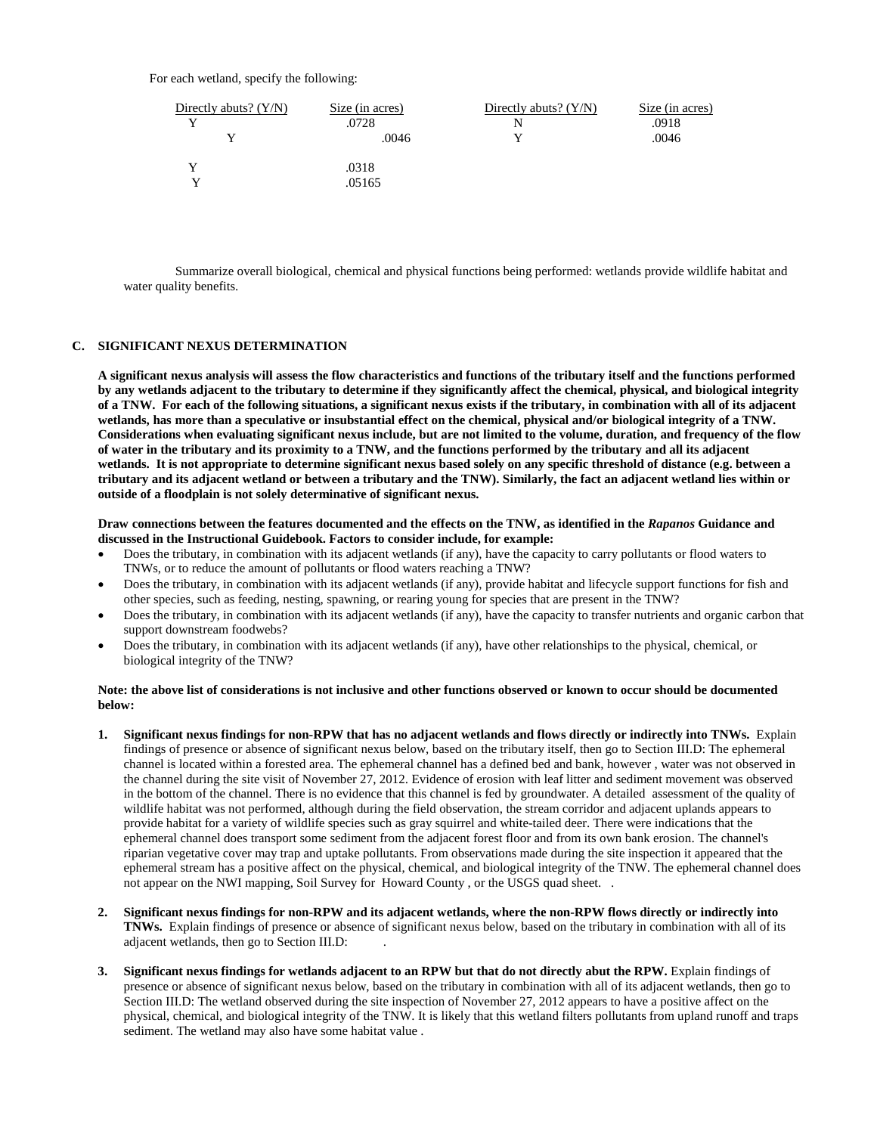For each wetland, specify the following:

| Directly abuts? $(Y/N)$ | Size (in acres)<br>.0728 | Directly abuts? $(Y/N)$<br>N | Size (in acres)<br>.0918 |
|-------------------------|--------------------------|------------------------------|--------------------------|
|                         | .0046                    |                              | .0046                    |
|                         | .0318<br>.05165          |                              |                          |

Summarize overall biological, chemical and physical functions being performed: wetlands provide wildlife habitat and water quality benefits.

### **C. SIGNIFICANT NEXUS DETERMINATION**

**A significant nexus analysis will assess the flow characteristics and functions of the tributary itself and the functions performed by any wetlands adjacent to the tributary to determine if they significantly affect the chemical, physical, and biological integrity of a TNW. For each of the following situations, a significant nexus exists if the tributary, in combination with all of its adjacent wetlands, has more than a speculative or insubstantial effect on the chemical, physical and/or biological integrity of a TNW. Considerations when evaluating significant nexus include, but are not limited to the volume, duration, and frequency of the flow of water in the tributary and its proximity to a TNW, and the functions performed by the tributary and all its adjacent wetlands. It is not appropriate to determine significant nexus based solely on any specific threshold of distance (e.g. between a tributary and its adjacent wetland or between a tributary and the TNW). Similarly, the fact an adjacent wetland lies within or outside of a floodplain is not solely determinative of significant nexus.** 

#### **Draw connections between the features documented and the effects on the TNW, as identified in the** *Rapanos* **Guidance and discussed in the Instructional Guidebook. Factors to consider include, for example:**

- Does the tributary, in combination with its adjacent wetlands (if any), have the capacity to carry pollutants or flood waters to TNWs, or to reduce the amount of pollutants or flood waters reaching a TNW?
- Does the tributary, in combination with its adjacent wetlands (if any), provide habitat and lifecycle support functions for fish and other species, such as feeding, nesting, spawning, or rearing young for species that are present in the TNW?
- Does the tributary, in combination with its adjacent wetlands (if any), have the capacity to transfer nutrients and organic carbon that support downstream foodwebs?
- Does the tributary, in combination with its adjacent wetlands (if any), have other relationships to the physical, chemical, or biological integrity of the TNW?

#### **Note: the above list of considerations is not inclusive and other functions observed or known to occur should be documented below:**

- **1. Significant nexus findings for non-RPW that has no adjacent wetlands and flows directly or indirectly into TNWs.** Explain findings of presence or absence of significant nexus below, based on the tributary itself, then go to Section III.D: The ephemeral channel is located within a forested area. The ephemeral channel has a defined bed and bank, however , water was not observed in the channel during the site visit of November 27, 2012. Evidence of erosion with leaf litter and sediment movement was observed in the bottom of the channel. There is no evidence that this channel is fed by groundwater. A detailed assessment of the quality of wildlife habitat was not performed, although during the field observation, the stream corridor and adjacent uplands appears to provide habitat for a variety of wildlife species such as gray squirrel and white-tailed deer. There were indications that the ephemeral channel does transport some sediment from the adjacent forest floor and from its own bank erosion. The channel's riparian vegetative cover may trap and uptake pollutants. From observations made during the site inspection it appeared that the ephemeral stream has a positive affect on the physical, chemical, and biological integrity of the TNW. The ephemeral channel does not appear on the NWI mapping, Soil Survey for Howard County , or the USGS quad sheet. .
- **2. Significant nexus findings for non-RPW and its adjacent wetlands, where the non-RPW flows directly or indirectly into TNWs.** Explain findings of presence or absence of significant nexus below, based on the tributary in combination with all of its adjacent wetlands, then go to Section III.D: .
- **3. Significant nexus findings for wetlands adjacent to an RPW but that do not directly abut the RPW.** Explain findings of presence or absence of significant nexus below, based on the tributary in combination with all of its adjacent wetlands, then go to Section III.D: The wetland observed during the site inspection of November 27, 2012 appears to have a positive affect on the physical, chemical, and biological integrity of the TNW. It is likely that this wetland filters pollutants from upland runoff and traps sediment. The wetland may also have some habitat value .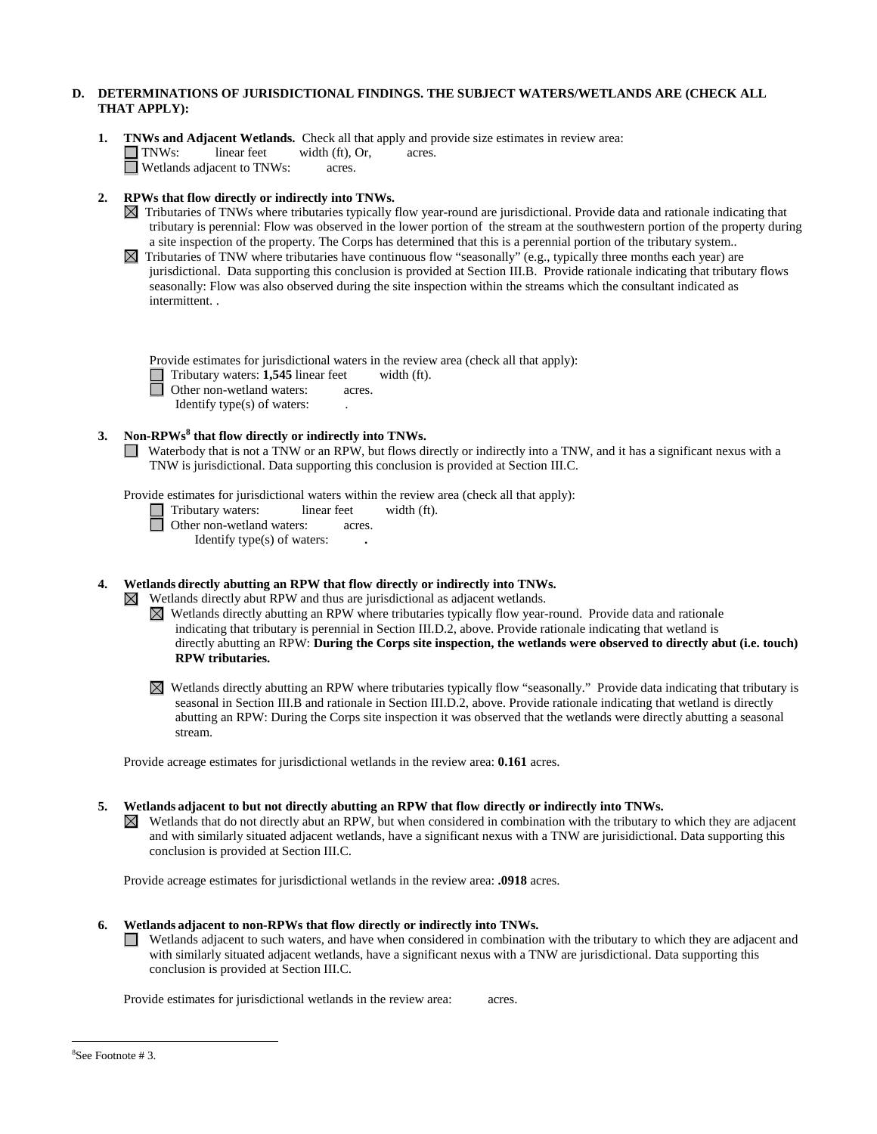## **D. DETERMINATIONS OF JURISDICTIONAL FINDINGS. THE SUBJECT WATERS/WETLANDS ARE (CHECK ALL THAT APPLY):**

**1. TNWs and Adjacent Wetlands.** Check all that apply and provide size estimates in review area:<br> **1. TNWs:** linear feet width (ft). Or. acres.

TNWs: linear feet width (ft), Or, acres. Wetlands adjacent to TNWs: acres.

- **2. RPWs that flow directly or indirectly into TNWs.**
	- $\boxtimes$  Tributaries of TNWs where tributaries typically flow year-round are jurisdictional. Provide data and rationale indicating that tributary is perennial: Flow was observed in the lower portion of the stream at the southwestern portion of the property during a site inspection of the property. The Corps has determined that this is a perennial portion of the tributary system..
	- $\boxtimes$  Tributaries of TNW where tributaries have continuous flow "seasonally" (e.g., typically three months each year) are jurisdictional. Data supporting this conclusion is provided at Section III.B. Provide rationale indicating that tributary flows seasonally: Flow was also observed during the site inspection within the streams which the consultant indicated as intermittent. .

Provide estimates for jurisdictional waters in the review area (check all that apply):

□ Tributary waters: **1,545** linear feet width (ft).

**Other non-wetland waters: acres.** 

Identify type(s) of waters:

## **3. Non-RPWs<sup>8</sup> that flow directly or indirectly into TNWs.**

■ Waterbody that is not a TNW or an RPW, but flows directly or indirectly into a TNW, and it has a significant nexus with a TNW is jurisdictional. Data supporting this conclusion is provided at Section III.C.

Provide estimates for jurisdictional waters within the review area (check all that apply):

Tributary waters: linear feet width (ft).

Other non-wetland waters: acres.

Identify type(s) of waters: **.**

# **4. Wetlands directly abutting an RPW that flow directly or indirectly into TNWs.**

 $\boxtimes$  Wetlands directly abut RPW and thus are jurisdictional as adjacent wetlands.

- Wetlands directly abutting an RPW where tributaries typically flow year-round. Provide data and rationale indicating that tributary is perennial in Section III.D.2, above. Provide rationale indicating that wetland is directly abutting an RPW: **During the Corps site inspection, the wetlands were observed to directly abut (i.e. touch) RPW tributaries.**
- $\boxtimes$  Wetlands directly abutting an RPW where tributaries typically flow "seasonally." Provide data indicating that tributary is seasonal in Section III.B and rationale in Section III.D.2, above. Provide rationale indicating that wetland is directly abutting an RPW: During the Corps site inspection it was observed that the wetlands were directly abutting a seasonal stream.

Provide acreage estimates for jurisdictional wetlands in the review area: **0.161** acres.

- **5. Wetlands adjacent to but not directly abutting an RPW that flow directly or indirectly into TNWs.**  $\boxtimes$  Wetlands that do not directly abut an RPW, but when considered in combination with the tributary to which they are adjacent
	- and with similarly situated adjacent wetlands, have a significant nexus with a TNW are jurisidictional. Data supporting this conclusion is provided at Section III.C.

Provide acreage estimates for jurisdictional wetlands in the review area: **.0918** acres.

- **6. Wetlands adjacent to non-RPWs that flow directly or indirectly into TNWs.** 
	- Wetlands adjacent to such waters, and have when considered in combination with the tributary to which they are adjacent and ш with similarly situated adjacent wetlands, have a significant nexus with a TNW are jurisdictional. Data supporting this conclusion is provided at Section III.C.

Provide estimates for jurisdictional wetlands in the review area: acres.

 <sup>8</sup> See Footnote # 3.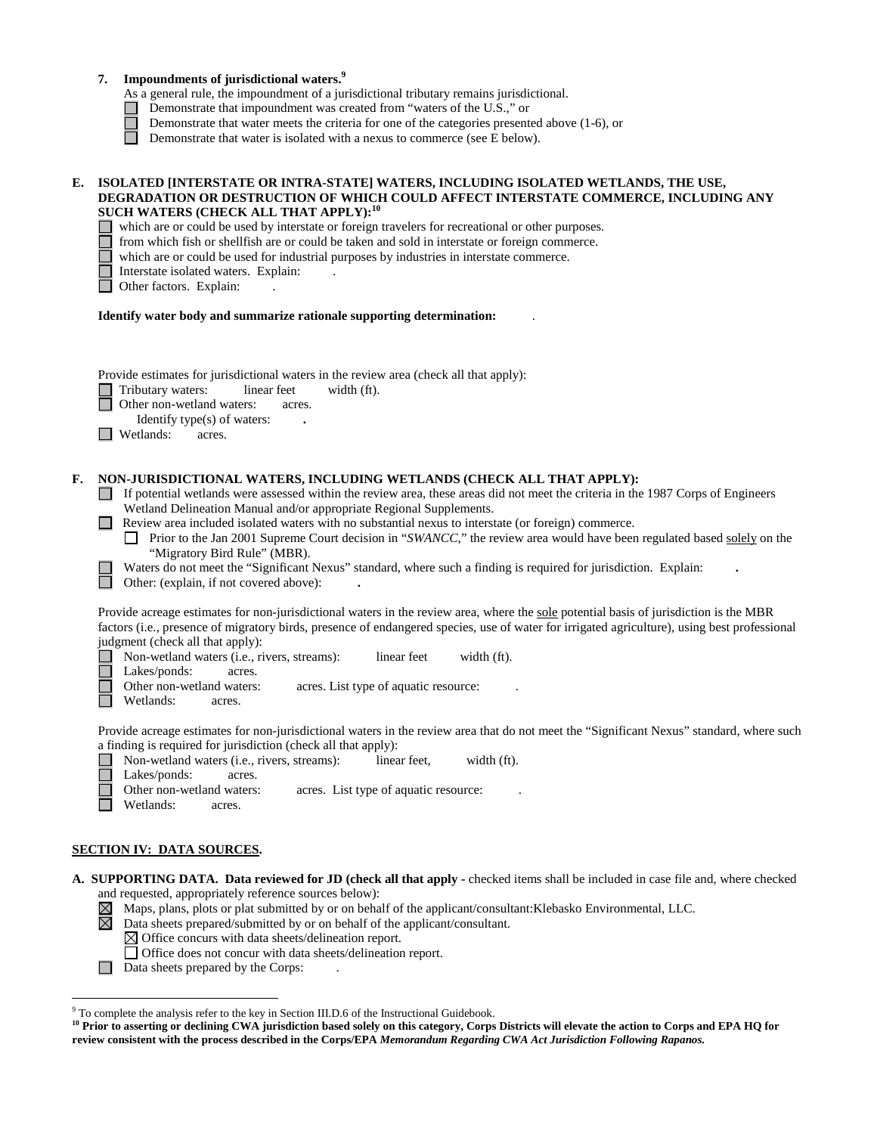## **7. Impoundments of jurisdictional waters. 9**

- As a general rule, the impoundment of a jurisdictional tributary remains jurisdictional.
- Demonstrate that impoundment was created from "waters of the U.S.," or
	- Demonstrate that water meets the criteria for one of the categories presented above (1-6), or
- Demonstrate that water is isolated with a nexus to commerce (see E below).

### **E. ISOLATED [INTERSTATE OR INTRA-STATE] WATERS, INCLUDING ISOLATED WETLANDS, THE USE, DEGRADATION OR DESTRUCTION OF WHICH COULD AFFECT INTERSTATE COMMERCE, INCLUDING ANY SUCH WATERS (CHECK ALL THAT APPLY):<sup>10</sup>**

which are or could be used by interstate or foreign travelers for recreational or other purposes.

from which fish or shellfish are or could be taken and sold in interstate or foreign commerce.

which are or could be used for industrial purposes by industries in interstate commerce.

- Interstate isolated waters.Explain: .
- Other factors. Explain:

#### **Identify water body and summarize rationale supporting determination:** .

Provide estimates for jurisdictional waters in the review area (check all that apply):

Tributary waters: linear feet width (ft).

**Other non-wetland waters: acres.** 

Identify type(s) of waters: **.**

**Netlands:** acres.

### **F. NON-JURISDICTIONAL WATERS, INCLUDING WETLANDS (CHECK ALL THAT APPLY):**

- If potential wetlands were assessed within the review area, these areas did not meet the criteria in the 1987 Corps of Engineers Wetland Delineation Manual and/or appropriate Regional Supplements.
- **Review area included isolated waters with no substantial nexus to interstate (or foreign) commerce.** 
	- **Prior to the Jan 2001 Supreme Court decision in "***SWANCC*," the review area would have been regulated based solely on the "Migratory Bird Rule" (MBR).
	- Waters do not meet the "Significant Nexus" standard, where such a finding is required for jurisdiction. Explain: **.**

Other: (explain, if not covered above): **.**

Provide acreage estimates for non-jurisdictional waters in the review area, where the sole potential basis of jurisdiction is the MBR factors (i.e., presence of migratory birds, presence of endangered species, use of water for irrigated agriculture), using best professional judgment (check all that apply):

Non-wetland waters (i.e., rivers, streams): linear feet width (ft).

Lakes/ponds: acres.

- Other non-wetland waters: acres. List type of aquatic resource:
- Wetlands: acres.

Provide acreage estimates for non-jurisdictional waters in the review area that do not meet the "Significant Nexus" standard, where such a finding is required for jurisdiction (check all that apply):

| Non-wetland waters (i.e., rivers, streams): | linear feet.                          | width $(ft)$ . |
|---------------------------------------------|---------------------------------------|----------------|
| $\perp$ Lakes/ponds:<br>acres.              |                                       |                |
| Other non-wetland waters:                   | acres. List type of aquatic resource: |                |

Wetlands: acres.

## **SECTION IV: DATA SOURCES.**

- **A. SUPPORTING DATA. Data reviewed for JD (check all that apply -** checked items shall be included in case file and, where checked and requested, appropriately reference sources below):
	- $\boxtimes$  Maps, plans, plots or plat submitted by or on behalf of the applicant/consultant:Klebasko Environmental, LLC.
	- $\boxtimes$ Data sheets prepared/submitted by or on behalf of the applicant/consultant.

 $\boxtimes$  Office concurs with data sheets/delineation report.

- Office does not concur with data sheets/delineation report.
- Data sheets prepared by the Corps:

 <sup>9</sup> To complete the analysis refer to the key in Section III.D.6 of the Instructional Guidebook.

<sup>&</sup>lt;sup>10</sup> Prior to asserting or declining CWA jurisdiction based solely on this category, Corps Districts will elevate the action to Corps and EPA HQ for **review consistent with the process described in the Corps/EPA** *Memorandum Regarding CWA Act Jurisdiction Following Rapanos.*